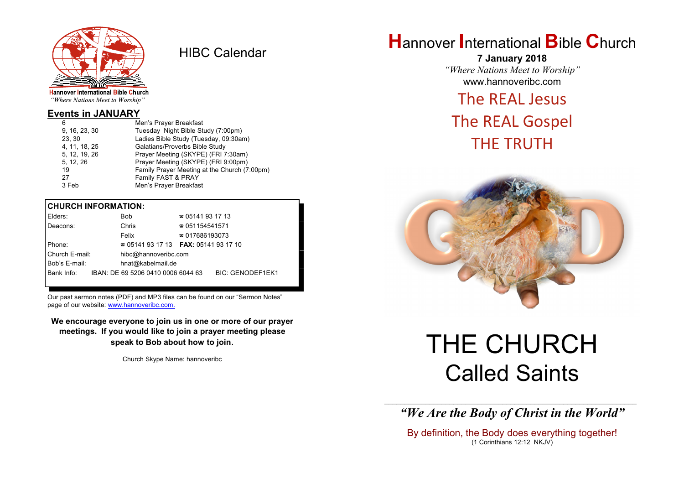

HIBC Calendar

"Where Nations Meet to Worship"

## **Events in JANUARY**

| 6             | Men's Prayer Breakfast                       |
|---------------|----------------------------------------------|
| 9, 16, 23, 30 | Tuesday Night Bible Study (7:00pm)           |
| 23.30         | Ladies Bible Study (Tuesday, 09:30am)        |
| 4, 11, 18, 25 | Galatians/Proverbs Bible Study               |
| 5, 12, 19, 26 | Prayer Meeting (SKYPE) (FRI 7:30am)          |
| 5, 12, 26     | Prayer Meeting (SKYPE) (FRI 9:00pm)          |
| 19            | Family Prayer Meeting at the Church (7:00pm) |
| 27            | Family FAST & PRAY                           |
| 3 Feb         | Men's Prayer Breakfast                       |
|               |                                              |

## **CHURCH INFORMATION:**

| Elders:        | <b>Bob</b>                                    | $\approx 05141931713$  |                         |
|----------------|-----------------------------------------------|------------------------|-------------------------|
| Deacons:       | Chris                                         | $\approx 051154541571$ |                         |
|                | Felix                                         | $\approx 017686193073$ |                         |
| Phone:         | $\approx 05141931713$ FAX: 0514193 17 10      |                        |                         |
| Church E-mail: | hibc@hannoveribc.com                          |                        |                         |
| Bob's E-mail:  | hnat@kabelmail.de                             |                        |                         |
|                | Bank Info: IBAN: DE 69 5206 0410 0006 6044 63 |                        | <b>BIC: GENODEF1EK1</b> |
|                |                                               |                        |                         |

Our past sermon notes (PDF) and MP3 files can be found on our "Sermon Notes" page of our website: [www.hannoveribc.com.](http://www.hannoveribc.com.)

**We encourage everyone to join us in one or more of our prayer meetings. If you would like to join a prayer meeting please speak to Bob about how to join**.

Church Skype Name: hannoveribc

# **H**annover **I**nternational **B**ible **C**hurch

**7 January 2018** *"Where Nations Meet to Worship"* www.hannoveribc.com

# The REAL Jesus

# The REAL Gospel THE TRUTH



# THE CHURCH Called Saints

\_\_\_\_\_\_\_\_\_\_\_\_\_\_\_\_\_\_\_\_\_\_\_\_\_\_\_\_\_\_\_\_\_\_\_\_\_\_\_\_\_\_\_\_\_\_\_\_\_\_\_\_\_\_\_\_\_\_\_\_\_\_ *"We Are the Body of Christ in the World"*

By definition, the Body does everything together! (1 Corinthians 12:12 NKJV)